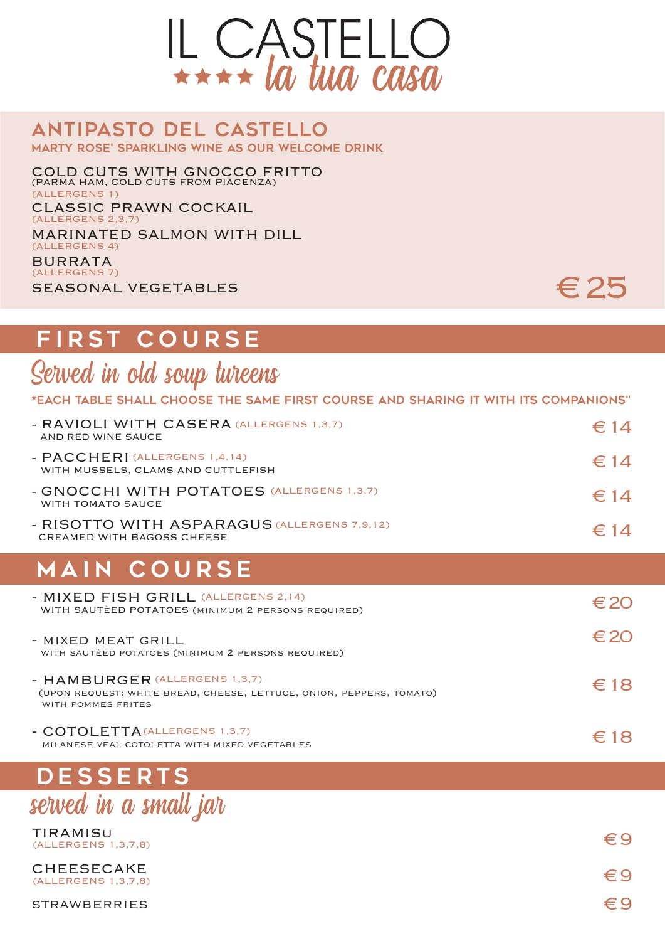

#### ANTIPASTO DEL CASTELLO MARTY ROSE' SPARKLING WINE AS OUR WELCOME DRINK

COLD CUTS WITH GNOCCO FRITTO (PARMA HAM, COLD CUTS FROM PIACENZA) CLASSIC PRAWN COCKAIL (ALLERGENS 1) (ALLERGENS 2,3,7)

MARINATED SALMON WITH DILL BURRATA (ALLERGENS 4)

SEASONAL VEGETABLES (ALLERGENS 7)

# € 25

## FIRST COURSE

Served in old soup tureens

\*EACH TABLE SHALL CHOOSE THE SAME FIRST COURSE AND SHARING IT WITH ITS COMPANIONS"

| - RAVIOLI WITH CASERA (ALLERGENS 1,3,7)<br>AND RED WINE SAUCE                                                               | $\in$ 14      |
|-----------------------------------------------------------------------------------------------------------------------------|---------------|
| - PACCHERI (ALLERGENS 1,4,14)<br>WITH MUSSELS, CLAMS AND CUTTLEFISH                                                         | $\in$ 14      |
| - GNOCCHI WITH POTATOES (ALLERGENS 1,3,7)<br>WITH TOMATO SAUCE                                                              | $\in$ 14      |
| - RISOTTO WITH ASPARAGUS (ALLERGENS 7,9,12)<br><b>CREAMED WITH BAGOSS CHEESE</b>                                            | $\epsilon$ 14 |
| <b>MAIN COURSE</b>                                                                                                          |               |
| - MIXED FISH GRILL (ALLERGENS 2,14)<br>WITH SAUTÈED POTATOES (MINIMUM 2 PERSONS REQUIRED)                                   | $\epsilon$ 20 |
| - MIXED MEAT GRILL<br>WITH SAUTÈED POTATOES (MINIMUM 2 PERSONS REQUIRED)                                                    | $\epsilon$ 20 |
| - HAMBURGER (ALLERGENS 1,3,7)<br>(UPON REQUEST: WHITE BREAD, CHEESE, LETTUCE, ONION, PEPPERS, TOMATO)<br>WITH POMMES FRITES | $\epsilon$ 18 |
| - COTOLETTA (ALLERGENS 1,3,7)<br>MILANESE VEAL COTOLETTA WITH MIXED VEGETABLES                                              | $\epsilon$ 18 |
| <b>DESSERTS</b>                                                                                                             |               |
| sewed in a small jar                                                                                                        |               |

| TIRAMISU<br>(ALLERGENS 1,3,7,8)   | €Ч             |
|-----------------------------------|----------------|
| CHEESECAKE<br>(ALLERGENS 1,3,7,8) | $\Leftarrow$ 9 |
| STRAWBERRIES                      | € 9            |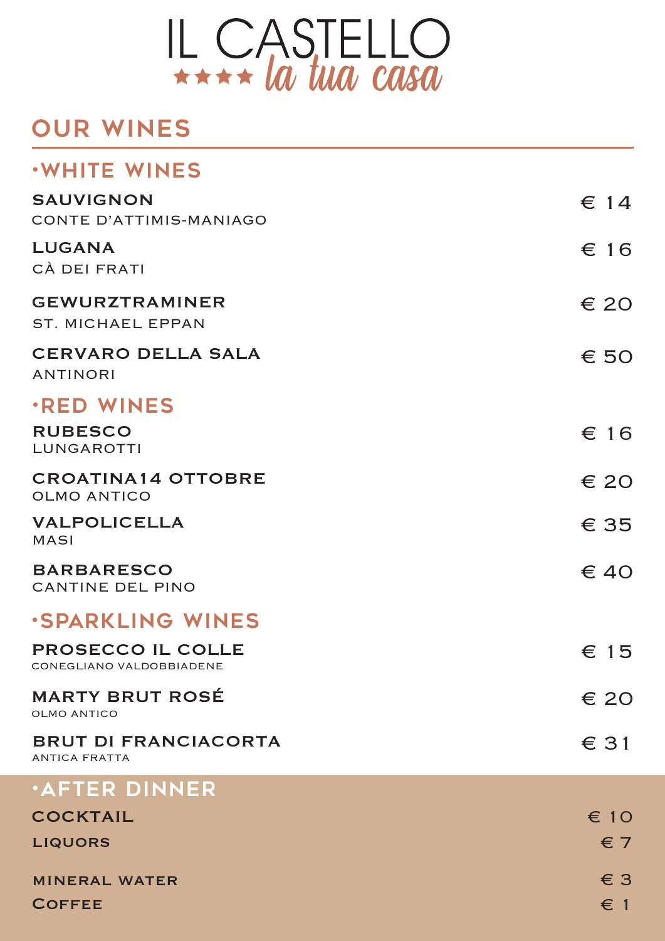

### our wines

| <b>WHITE WINES</b>                                  |               |
|-----------------------------------------------------|---------------|
| <b>SAUVIGNON</b><br>CONTE D'ATTIMIS-MANIAGO         | $\epsilon$ 14 |
| <b>LUGANA</b><br>CÀ DEI FRATI                       | $\epsilon$ 16 |
| <b>GEWURZTRAMINER</b><br><b>ST. MICHAEL EPPAN</b>   | $\epsilon$ 20 |
| <b>CERVARO DELLA SALA</b><br><b>ANTINORI</b>        | $\epsilon$ 50 |
| <b>RED WINES</b>                                    |               |
| <b>RUBESCO</b><br>LUNGAROTTI                        | $\epsilon$ 16 |
| <b>CROATINA14 OTTOBRE</b><br><b>OLMO ANTICO</b>     | $\epsilon$ 20 |
| <b>VALPOLICELLA</b><br><b>MASI</b>                  | $\epsilon$ 35 |
| <b>BARBARESCO</b><br><b>CANTINE DEL PINO</b>        | $\epsilon$ 40 |
| <b>SPARKLING WINES</b>                              |               |
| PROSECCO IL COLLE<br>CONEGLIANO VALDOBBIADENE       | $\epsilon$ 15 |
| <b>MARTY BRUT ROSÉ</b><br><b>OLMO ANTICO</b>        | $\epsilon$ 20 |
| <b>BRUT DI FRANCIACORTA</b><br><b>ANTICA FRATTA</b> | $\epsilon$ 31 |
| <b>AFTER DINNER</b>                                 |               |
| <b>COCKTAIL</b>                                     | $\epsilon$ 10 |
| <b>LIQUORS</b>                                      | $\epsilon$ 7  |
| <b>MINERAL WATER</b>                                | $\in$ 3       |
| <b>COFFEE</b>                                       | $\epsilon$ 1  |